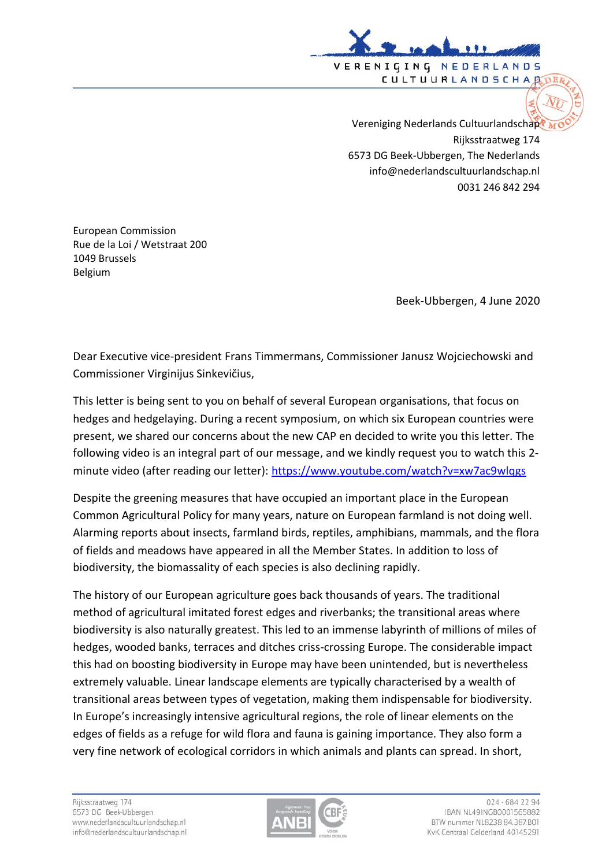

Vereniging Nederlands Cultuurlandschap Rijksstraatweg 174 6573 DG Beek-Ubbergen, The Nederlands info@nederlandscultuurlandschap.nl 0031 246 842 294

European Commission Rue de la Loi / Wetstraat 200 1049 Brussels Belgium

Beek-Ubbergen, 4 June 2020

Dear Executive vice-president Frans Timmermans, Commissioner Janusz Wojciechowski and Commissioner Virginijus Sinkevičius,

This letter is being sent to you on behalf of several European organisations, that focus on hedges and hedgelaying. During a recent symposium, on which six European countries were present, we shared our concerns about the new CAP en decided to write you this letter. The following video is an integral part of our message, and we kindly request you to watch this 2 minute video (after reading our letter):<https://www.youtube.com/watch?v=xw7ac9wlqgs>

Despite the greening measures that have occupied an important place in the European Common Agricultural Policy for many years, nature on European farmland is not doing well. Alarming reports about insects, farmland birds, reptiles, amphibians, mammals, and the flora of fields and meadows have appeared in all the Member States. In addition to loss of biodiversity, the biomassality of each species is also declining rapidly.

The history of our European agriculture goes back thousands of years. The traditional method of agricultural imitated forest edges and riverbanks; the transitional areas where biodiversity is also naturally greatest. This led to an immense labyrinth of millions of miles of hedges, wooded banks, terraces and ditches criss-crossing Europe. The considerable impact this had on boosting biodiversity in Europe may have been unintended, but is nevertheless extremely valuable. Linear landscape elements are typically characterised by a wealth of transitional areas between types of vegetation, making them indispensable for biodiversity. In Europe's increasingly intensive agricultural regions, the role of linear elements on the edges of fields as a refuge for wild flora and fauna is gaining importance. They also form a very fine network of ecological corridors in which animals and plants can spread. In short,

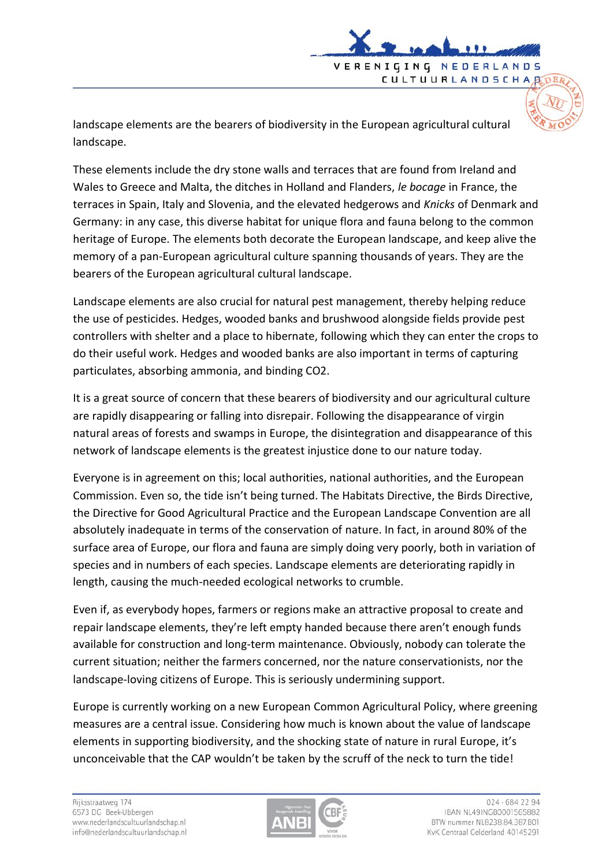landscape elements are the bearers of biodiversity in the European agricultural cultural landscape.

VERENIGING NEDERLAN

**CULTUURLANDSCHAR** 

 $n<sub>5</sub>$ 

These elements include the dry stone walls and terraces that are found from Ireland and Wales to Greece and Malta, the ditches in Holland and Flanders, *le bocage* in France, the terraces in Spain, Italy and Slovenia, and the elevated hedgerows and *Knicks* of Denmark and Germany: in any case, this diverse habitat for unique flora and fauna belong to the common heritage of Europe. The elements both decorate the European landscape, and keep alive the memory of a pan-European agricultural culture spanning thousands of years. They are the bearers of the European agricultural cultural landscape.

Landscape elements are also crucial for natural pest management, thereby helping reduce the use of pesticides. Hedges, wooded banks and brushwood alongside fields provide pest controllers with shelter and a place to hibernate, following which they can enter the crops to do their useful work. Hedges and wooded banks are also important in terms of capturing particulates, absorbing ammonia, and binding CO2.

It is a great source of concern that these bearers of biodiversity and our agricultural culture are rapidly disappearing or falling into disrepair. Following the disappearance of virgin natural areas of forests and swamps in Europe, the disintegration and disappearance of this network of landscape elements is the greatest injustice done to our nature today.

Everyone is in agreement on this; local authorities, national authorities, and the European Commission. Even so, the tide isn't being turned. The Habitats Directive, the Birds Directive, the Directive for Good Agricultural Practice and the European Landscape Convention are all absolutely inadequate in terms of the conservation of nature. In fact, in around 80% of the surface area of Europe, our flora and fauna are simply doing very poorly, both in variation of species and in numbers of each species. Landscape elements are deteriorating rapidly in length, causing the much-needed ecological networks to crumble.

Even if, as everybody hopes, farmers or regions make an attractive proposal to create and repair landscape elements, they're left empty handed because there aren't enough funds available for construction and long-term maintenance. Obviously, nobody can tolerate the current situation; neither the farmers concerned, nor the nature conservationists, nor the landscape-loving citizens of Europe. This is seriously undermining support.

Europe is currently working on a new European Common Agricultural Policy, where greening measures are a central issue. Considering how much is known about the value of landscape elements in supporting biodiversity, and the shocking state of nature in rural Europe, it's unconceivable that the CAP wouldn't be taken by the scruff of the neck to turn the tide!

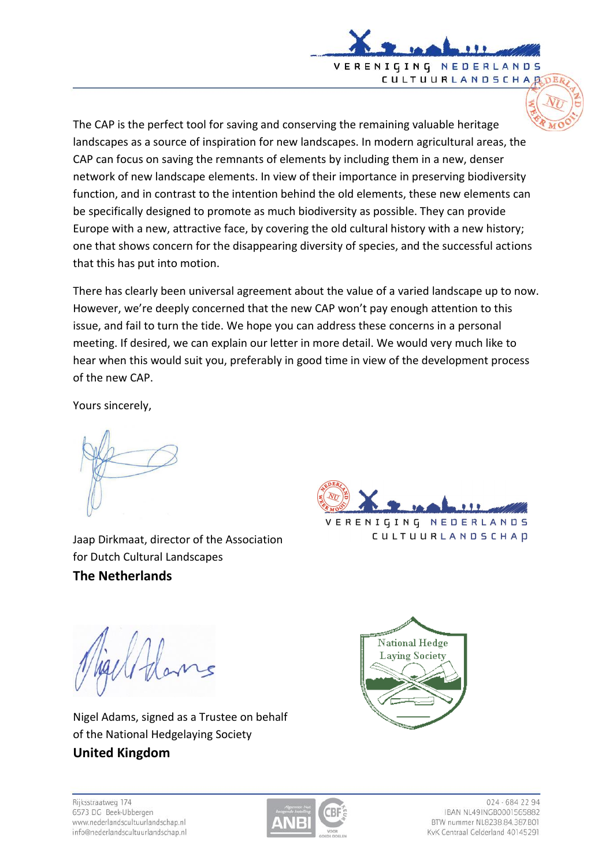

The CAP is the perfect tool for saving and conserving the remaining valuable heritage landscapes as a source of inspiration for new landscapes. In modern agricultural areas, the CAP can focus on saving the remnants of elements by including them in a new, denser network of new landscape elements. In view of their importance in preserving biodiversity function, and in contrast to the intention behind the old elements, these new elements can be specifically designed to promote as much biodiversity as possible. They can provide Europe with a new, attractive face, by covering the old cultural history with a new history; one that shows concern for the disappearing diversity of species, and the successful actions that this has put into motion.

There has clearly been universal agreement about the value of a varied landscape up to now. However, we're deeply concerned that the new CAP won't pay enough attention to this issue, and fail to turn the tide. We hope you can address these concerns in a personal meeting. If desired, we can explain our letter in more detail. We would very much like to hear when this would suit you, preferably in good time in view of the development process of the new CAP.

Yours sincerely,

Jaap Dirkmaat, director of the Association for Dutch Cultural Landscapes **The Netherlands**



Nigel Adams, signed as a Trustee on behalf of the National Hedgelaying Society **United Kingdom**







024 - 684 22 94 IBAN NL49INGB0001565882 RTW nummer NL8238 84 387 BOL KvK Centraal Gelderland 40145291